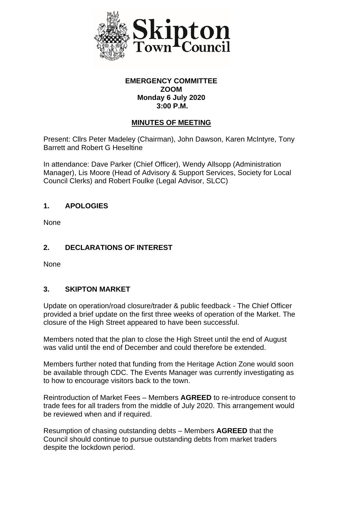

#### **EMERGENCY COMMITTEE ZOOM Monday 6 July 2020 3:00 P.M.**

### **MINUTES OF MEETING**

Present: Cllrs Peter Madeley (Chairman), John Dawson, Karen McIntyre, Tony Barrett and Robert G Heseltine

In attendance: Dave Parker (Chief Officer), Wendy Allsopp (Administration Manager), Lis Moore (Head of Advisory & Support Services, Society for Local Council Clerks) and Robert Foulke (Legal Advisor, SLCC)

### **1. APOLOGIES**

None

### **2. DECLARATIONS OF INTEREST**

None

### **3. SKIPTON MARKET**

Update on operation/road closure/trader & public feedback - The Chief Officer provided a brief update on the first three weeks of operation of the Market. The closure of the High Street appeared to have been successful.

Members noted that the plan to close the High Street until the end of August was valid until the end of December and could therefore be extended.

Members further noted that funding from the Heritage Action Zone would soon be available through CDC. The Events Manager was currently investigating as to how to encourage visitors back to the town.

Reintroduction of Market Fees – Members **AGREED** to re-introduce consent to trade fees for all traders from the middle of July 2020. This arrangement would be reviewed when and if required.

Resumption of chasing outstanding debts – Members **AGREED** that the Council should continue to pursue outstanding debts from market traders despite the lockdown period.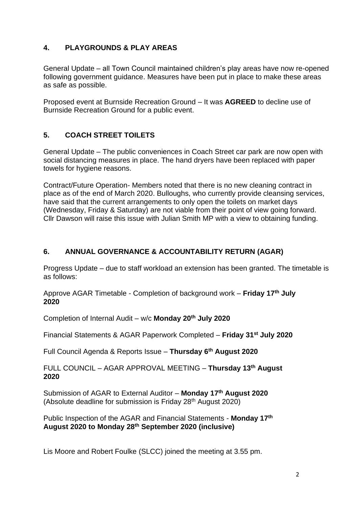# **4. PLAYGROUNDS & PLAY AREAS**

General Update – all Town Council maintained children's play areas have now re-opened following government guidance. Measures have been put in place to make these areas as safe as possible.

Proposed event at Burnside Recreation Ground – It was **AGREED** to decline use of Burnside Recreation Ground for a public event.

### **5. COACH STREET TOILETS**

General Update – The public conveniences in Coach Street car park are now open with social distancing measures in place. The hand dryers have been replaced with paper towels for hygiene reasons.

Contract/Future Operation- Members noted that there is no new cleaning contract in place as of the end of March 2020. Bulloughs, who currently provide cleansing services, have said that the current arrangements to only open the toilets on market days (Wednesday, Friday & Saturday) are not viable from their point of view going forward. Cllr Dawson will raise this issue with Julian Smith MP with a view to obtaining funding.

# **6. ANNUAL GOVERNANCE & ACCOUNTABILITY RETURN (AGAR)**

Progress Update – due to staff workload an extension has been granted. The timetable is as follows:

Approve AGAR Timetable - Completion of background work – **Friday 17th July 2020**

Completion of Internal Audit – w/c **Monday 20th July 2020**

Financial Statements & AGAR Paperwork Completed – **Friday 31st July 2020**

Full Council Agenda & Reports Issue – **Thursday 6th August 2020**

FULL COUNCIL – AGAR APPROVAL MEETING – **Thursday 13th August 2020**

Submission of AGAR to External Auditor – **Monday 17th August 2020** (Absolute deadline for submission is Friday  $28<sup>th</sup>$  August 2020)

Public Inspection of the AGAR and Financial Statements - **Monday 17th August 2020 to Monday 28th September 2020 (inclusive)**

Lis Moore and Robert Foulke (SLCC) joined the meeting at 3.55 pm.